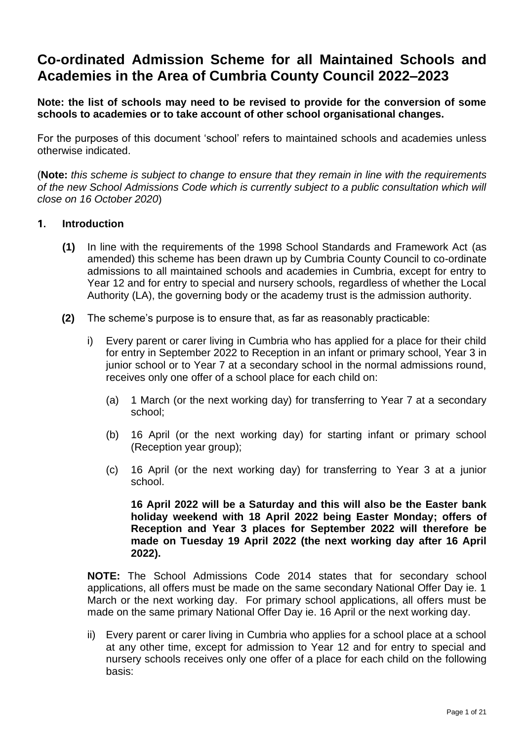# **Co-ordinated Admission Scheme for all Maintained Schools and Academies in the Area of Cumbria County Council 2022–2023**

**Note: the list of schools may need to be revised to provide for the conversion of some schools to academies or to take account of other school organisational changes.**

For the purposes of this document 'school' refers to maintained schools and academies unless otherwise indicated.

(**Note:** *this scheme is subject to change to ensure that they remain in line with the requirements of the new School Admissions Code which is currently subject to a public consultation which will close on 16 October 2020*)

#### **1. Introduction**

- **(1)** In line with the requirements of the 1998 School Standards and Framework Act (as amended) this scheme has been drawn up by Cumbria County Council to co-ordinate admissions to all maintained schools and academies in Cumbria, except for entry to Year 12 and for entry to special and nursery schools, regardless of whether the Local Authority (LA), the governing body or the academy trust is the admission authority.
- **(2)** The scheme's purpose is to ensure that, as far as reasonably practicable:
	- i) Every parent or carer living in Cumbria who has applied for a place for their child for entry in September 2022 to Reception in an infant or primary school, Year 3 in junior school or to Year 7 at a secondary school in the normal admissions round, receives only one offer of a school place for each child on:
		- (a) 1 March (or the next working day) for transferring to Year 7 at a secondary school;
		- (b) 16 April (or the next working day) for starting infant or primary school (Reception year group);
		- (c) 16 April (or the next working day) for transferring to Year 3 at a junior school.

**16 April 2022 will be a Saturday and this will also be the Easter bank holiday weekend with 18 April 2022 being Easter Monday; offers of Reception and Year 3 places for September 2022 will therefore be made on Tuesday 19 April 2022 (the next working day after 16 April 2022).**

**NOTE:** The School Admissions Code 2014 states that for secondary school applications, all offers must be made on the same secondary National Offer Day ie. 1 March or the next working day. For primary school applications, all offers must be made on the same primary National Offer Day ie. 16 April or the next working day.

ii) Every parent or carer living in Cumbria who applies for a school place at a school at any other time, except for admission to Year 12 and for entry to special and nursery schools receives only one offer of a place for each child on the following basis: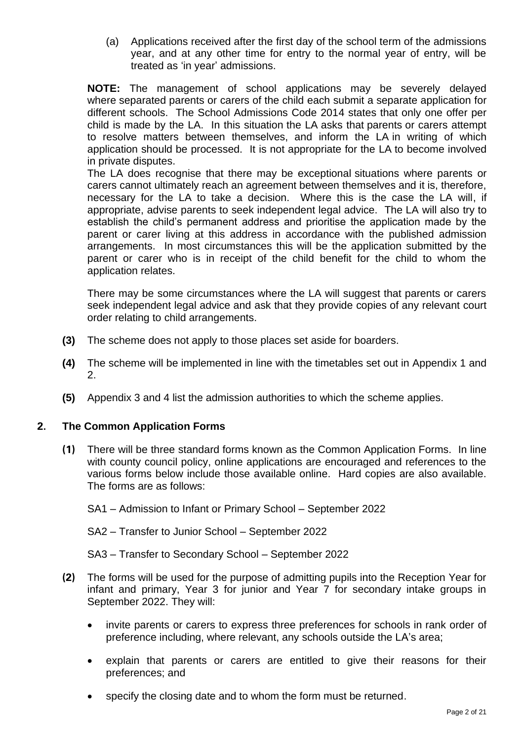(a) Applications received after the first day of the school term of the admissions year, and at any other time for entry to the normal year of entry, will be treated as 'in year' admissions.

**NOTE:** The management of school applications may be severely delayed where separated parents or carers of the child each submit a separate application for different schools. The School Admissions Code 2014 states that only one offer per child is made by the LA. In this situation the LA asks that parents or carers attempt to resolve matters between themselves, and inform the LA in writing of which application should be processed. It is not appropriate for the LA to become involved in private disputes.

The LA does recognise that there may be exceptional situations where parents or carers cannot ultimately reach an agreement between themselves and it is, therefore, necessary for the LA to take a decision. Where this is the case the LA will, if appropriate, advise parents to seek independent legal advice. The LA will also try to establish the child's permanent address and prioritise the application made by the parent or carer living at this address in accordance with the published admission arrangements. In most circumstances this will be the application submitted by the parent or carer who is in receipt of the child benefit for the child to whom the application relates.

There may be some circumstances where the LA will suggest that parents or carers seek independent legal advice and ask that they provide copies of any relevant court order relating to child arrangements.

- **(3)** The scheme does not apply to those places set aside for boarders.
- **(4)** The scheme will be implemented in line with the timetables set out in Appendix 1 and 2.
- **(5)** Appendix 3 and 4 list the admission authorities to which the scheme applies.

# **2. The Common Application Forms**

- **(1)** There will be three standard forms known as the Common Application Forms. In line with county council policy, online applications are encouraged and references to the various forms below include those available online. Hard copies are also available. The forms are as follows:
	- SA1 Admission to Infant or Primary School September 2022
	- SA2 Transfer to Junior School September 2022
	- SA3 Transfer to Secondary School September 2022
- **(2)** The forms will be used for the purpose of admitting pupils into the Reception Year for infant and primary, Year 3 for junior and Year 7 for secondary intake groups in September 2022. They will:
	- invite parents or carers to express three preferences for schools in rank order of preference including, where relevant, any schools outside the LA's area;
	- explain that parents or carers are entitled to give their reasons for their preferences; and
	- specify the closing date and to whom the form must be returned.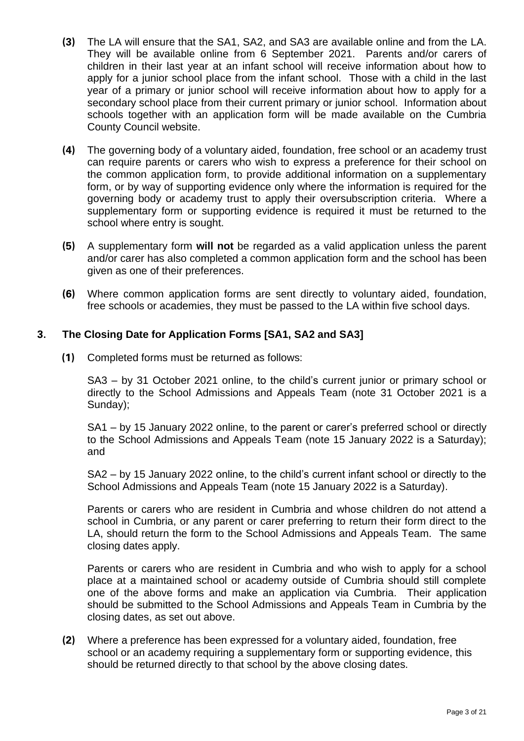- **(3)** The LA will ensure that the SA1, SA2, and SA3 are available online and from the LA. They will be available online from 6 September 2021. Parents and/or carers of children in their last year at an infant school will receive information about how to apply for a junior school place from the infant school. Those with a child in the last year of a primary or junior school will receive information about how to apply for a secondary school place from their current primary or junior school. Information about schools together with an application form will be made available on the Cumbria County Council website.
- **(4)** The governing body of a voluntary aided, foundation, free school or an academy trust can require parents or carers who wish to express a preference for their school on the common application form, to provide additional information on a supplementary form, or by way of supporting evidence only where the information is required for the governing body or academy trust to apply their oversubscription criteria. Where a supplementary form or supporting evidence is required it must be returned to the school where entry is sought.
- **(5)** A supplementary form **will not** be regarded as a valid application unless the parent and/or carer has also completed a common application form and the school has been given as one of their preferences.
- **(6)** Where common application forms are sent directly to voluntary aided, foundation, free schools or academies, they must be passed to the LA within five school days.

#### **3. The Closing Date for Application Forms [SA1, SA2 and SA3]**

**(1)** Completed forms must be returned as follows:

SA3 – by 31 October 2021 online, to the child's current junior or primary school or directly to the School Admissions and Appeals Team (note 31 October 2021 is a Sunday);

SA1 – by 15 January 2022 online, to the parent or carer's preferred school or directly to the School Admissions and Appeals Team (note 15 January 2022 is a Saturday); and

SA2 – by 15 January 2022 online, to the child's current infant school or directly to the School Admissions and Appeals Team (note 15 January 2022 is a Saturday).

Parents or carers who are resident in Cumbria and whose children do not attend a school in Cumbria, or any parent or carer preferring to return their form direct to the LA, should return the form to the School Admissions and Appeals Team. The same closing dates apply.

Parents or carers who are resident in Cumbria and who wish to apply for a school place at a maintained school or academy outside of Cumbria should still complete one of the above forms and make an application via Cumbria. Their application should be submitted to the School Admissions and Appeals Team in Cumbria by the closing dates, as set out above.

**(2)** Where a preference has been expressed for a voluntary aided, foundation, free school or an academy requiring a supplementary form or supporting evidence, this should be returned directly to that school by the above closing dates.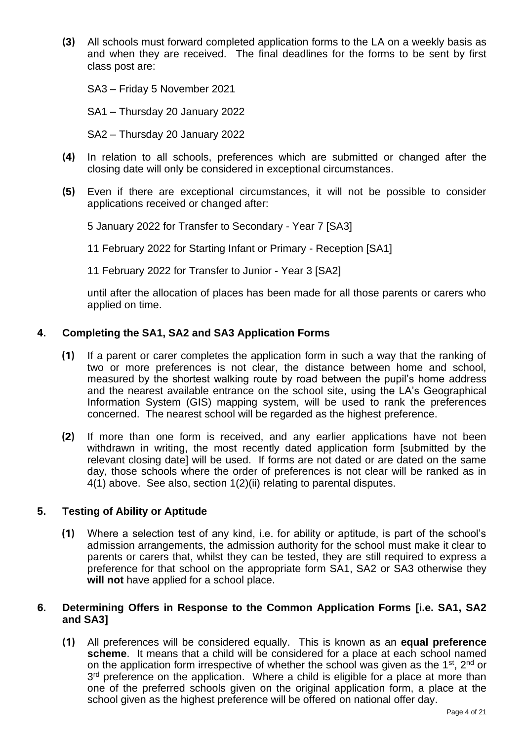**(3)** All schools must forward completed application forms to the LA on a weekly basis as and when they are received. The final deadlines for the forms to be sent by first class post are:

SA3 – Friday 5 November 2021

SA1 – Thursday 20 January 2022

SA2 – Thursday 20 January 2022

- **(4)** In relation to all schools, preferences which are submitted or changed after the closing date will only be considered in exceptional circumstances.
- **(5)** Even if there are exceptional circumstances, it will not be possible to consider applications received or changed after:

5 January 2022 for Transfer to Secondary - Year 7 [SA3]

11 February 2022 for Starting Infant or Primary - Reception [SA1]

11 February 2022 for Transfer to Junior - Year 3 [SA2]

until after the allocation of places has been made for all those parents or carers who applied on time.

#### **4. Completing the SA1, SA2 and SA3 Application Forms**

- **(1)** If a parent or carer completes the application form in such a way that the ranking of two or more preferences is not clear, the distance between home and school, measured by the shortest walking route by road between the pupil's home address and the nearest available entrance on the school site, using the LA's Geographical Information System (GIS) mapping system, will be used to rank the preferences concerned. The nearest school will be regarded as the highest preference.
- **(2)** If more than one form is received, and any earlier applications have not been withdrawn in writing, the most recently dated application form [submitted by the relevant closing date] will be used. If forms are not dated or are dated on the same day, those schools where the order of preferences is not clear will be ranked as in 4(1) above. See also, section 1(2)(ii) relating to parental disputes.

#### **5. Testing of Ability or Aptitude**

**(1)** Where a selection test of any kind, i.e. for ability or aptitude, is part of the school's admission arrangements, the admission authority for the school must make it clear to parents or carers that, whilst they can be tested, they are still required to express a preference for that school on the appropriate form SA1, SA2 or SA3 otherwise they **will not** have applied for a school place.

#### **6. Determining Offers in Response to the Common Application Forms [i.e. SA1, SA2 and SA3]**

**(1)** All preferences will be considered equally. This is known as an **equal preference scheme**. It means that a child will be considered for a place at each school named on the application form irrespective of whether the school was given as the 1<sup>st</sup>, 2<sup>nd</sup> or 3<sup>rd</sup> preference on the application. Where a child is eligible for a place at more than one of the preferred schools given on the original application form, a place at the school given as the highest preference will be offered on national offer day.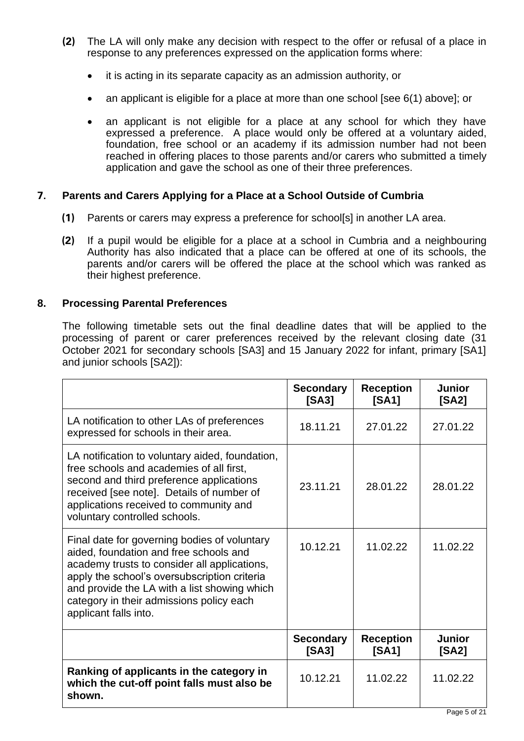- **(2)** The LA will only make any decision with respect to the offer or refusal of a place in response to any preferences expressed on the application forms where:
	- it is acting in its separate capacity as an admission authority, or
	- an applicant is eligible for a place at more than one school [see 6(1) above]; or
	- an applicant is not eligible for a place at any school for which they have expressed a preference. A place would only be offered at a voluntary aided, foundation, free school or an academy if its admission number had not been reached in offering places to those parents and/or carers who submitted a timely application and gave the school as one of their three preferences.

# **7. Parents and Carers Applying for a Place at a School Outside of Cumbria**

- **(1)** Parents or carers may express a preference for school[s] in another LA area.
- **(2)** If a pupil would be eligible for a place at a school in Cumbria and a neighbouring Authority has also indicated that a place can be offered at one of its schools, the parents and/or carers will be offered the place at the school which was ranked as their highest preference.

# **8. Processing Parental Preferences**

The following timetable sets out the final deadline dates that will be applied to the processing of parent or carer preferences received by the relevant closing date (31 October 2021 for secondary schools [SA3] and 15 January 2022 for infant, primary [SA1] and junior schools [SA2]):

|                                                                                                                                                                                                                                                                                                             | <b>Secondary</b><br>[SA3] | <b>Reception</b><br>[SA1] | <b>Junior</b><br>[SA2] |
|-------------------------------------------------------------------------------------------------------------------------------------------------------------------------------------------------------------------------------------------------------------------------------------------------------------|---------------------------|---------------------------|------------------------|
| LA notification to other LAs of preferences<br>expressed for schools in their area.                                                                                                                                                                                                                         | 18.11.21                  | 27.01.22                  | 27.01.22               |
| LA notification to voluntary aided, foundation,<br>free schools and academies of all first,<br>second and third preference applications<br>received [see note]. Details of number of<br>applications received to community and<br>voluntary controlled schools.                                             | 23.11.21                  | 28.01.22                  | 28.01.22               |
| Final date for governing bodies of voluntary<br>aided, foundation and free schools and<br>academy trusts to consider all applications,<br>apply the school's oversubscription criteria<br>and provide the LA with a list showing which<br>category in their admissions policy each<br>applicant falls into. | 10.12.21                  | 11.02.22                  | 11.02.22               |
|                                                                                                                                                                                                                                                                                                             | <b>Secondary</b><br>[SA3] | <b>Reception</b><br>[SA1] | <b>Junior</b><br>[SA2] |
| Ranking of applicants in the category in<br>which the cut-off point falls must also be<br>shown.                                                                                                                                                                                                            | 10.12.21                  | 11.02.22                  | 11.02.22               |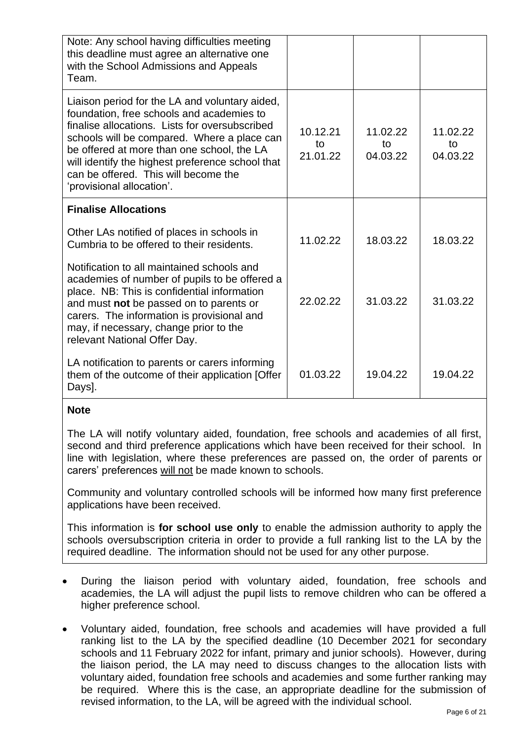| Note: Any school having difficulties meeting<br>this deadline must agree an alternative one<br>with the School Admissions and Appeals<br>Team.                                                                                                                                                                                                                      |                            |                            |                            |
|---------------------------------------------------------------------------------------------------------------------------------------------------------------------------------------------------------------------------------------------------------------------------------------------------------------------------------------------------------------------|----------------------------|----------------------------|----------------------------|
| Liaison period for the LA and voluntary aided,<br>foundation, free schools and academies to<br>finalise allocations. Lists for oversubscribed<br>schools will be compared. Where a place can<br>be offered at more than one school, the LA<br>will identify the highest preference school that<br>can be offered. This will become the<br>'provisional allocation'. | 10.12.21<br>to<br>21.01.22 | 11.02.22<br>to<br>04.03.22 | 11.02.22<br>to<br>04.03.22 |
| <b>Finalise Allocations</b>                                                                                                                                                                                                                                                                                                                                         |                            |                            |                            |
| Other LAs notified of places in schools in<br>Cumbria to be offered to their residents.                                                                                                                                                                                                                                                                             | 11.02.22                   | 18.03.22                   | 18.03.22                   |
| Notification to all maintained schools and<br>academies of number of pupils to be offered a<br>place. NB: This is confidential information<br>and must not be passed on to parents or<br>carers. The information is provisional and<br>may, if necessary, change prior to the<br>relevant National Offer Day.                                                       | 22.02.22                   | 31.03.22                   | 31.03.22                   |
| LA notification to parents or carers informing<br>them of the outcome of their application [Offer<br>Days].                                                                                                                                                                                                                                                         | 01.03.22                   | 19.04.22                   | 19.04.22                   |

# **Note**

The LA will notify voluntary aided, foundation, free schools and academies of all first, second and third preference applications which have been received for their school. In line with legislation, where these preferences are passed on, the order of parents or carers' preferences will not be made known to schools.

Community and voluntary controlled schools will be informed how many first preference applications have been received.

This information is **for school use only** to enable the admission authority to apply the schools oversubscription criteria in order to provide a full ranking list to the LA by the required deadline. The information should not be used for any other purpose.

- During the liaison period with voluntary aided, foundation, free schools and academies, the LA will adjust the pupil lists to remove children who can be offered a higher preference school.
- Voluntary aided, foundation, free schools and academies will have provided a full ranking list to the LA by the specified deadline (10 December 2021 for secondary schools and 11 February 2022 for infant, primary and junior schools). However, during the liaison period, the LA may need to discuss changes to the allocation lists with voluntary aided, foundation free schools and academies and some further ranking may be required. Where this is the case, an appropriate deadline for the submission of revised information, to the LA, will be agreed with the individual school.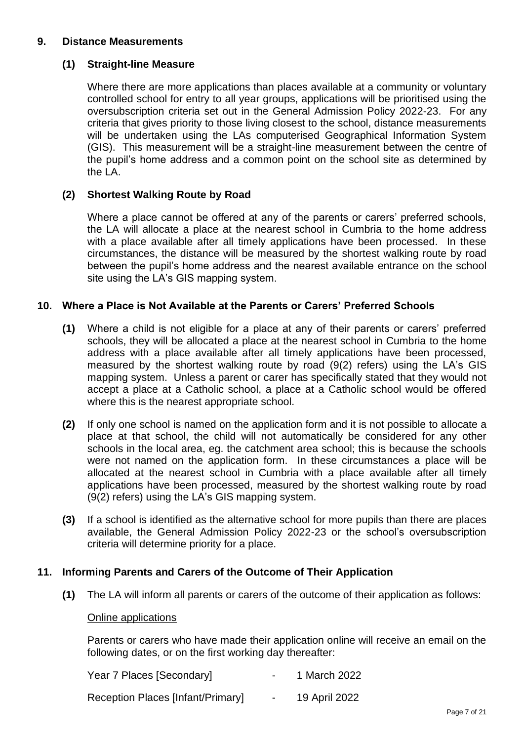# **9. Distance Measurements**

#### **(1) Straight-line Measure**

Where there are more applications than places available at a community or voluntary controlled school for entry to all year groups, applications will be prioritised using the oversubscription criteria set out in the General Admission Policy 2022-23. For any criteria that gives priority to those living closest to the school, distance measurements will be undertaken using the LAs computerised Geographical Information System (GIS). This measurement will be a straight-line measurement between the centre of the pupil's home address and a common point on the school site as determined by the LA.

#### **(2) Shortest Walking Route by Road**

Where a place cannot be offered at any of the parents or carers' preferred schools, the LA will allocate a place at the nearest school in Cumbria to the home address with a place available after all timely applications have been processed. In these circumstances, the distance will be measured by the shortest walking route by road between the pupil's home address and the nearest available entrance on the school site using the LA's GIS mapping system.

#### **10. Where a Place is Not Available at the Parents or Carers' Preferred Schools**

- **(1)** Where a child is not eligible for a place at any of their parents or carers' preferred schools, they will be allocated a place at the nearest school in Cumbria to the home address with a place available after all timely applications have been processed, measured by the shortest walking route by road (9(2) refers) using the LA's GIS mapping system. Unless a parent or carer has specifically stated that they would not accept a place at a Catholic school, a place at a Catholic school would be offered where this is the nearest appropriate school.
- **(2)** If only one school is named on the application form and it is not possible to allocate a place at that school, the child will not automatically be considered for any other schools in the local area, eg. the catchment area school; this is because the schools were not named on the application form. In these circumstances a place will be allocated at the nearest school in Cumbria with a place available after all timely applications have been processed, measured by the shortest walking route by road (9(2) refers) using the LA's GIS mapping system.
- **(3)** If a school is identified as the alternative school for more pupils than there are places available, the General Admission Policy 2022-23 or the school's oversubscription criteria will determine priority for a place.

#### **11. Informing Parents and Carers of the Outcome of Their Application**

**(1)** The LA will inform all parents or carers of the outcome of their application as follows:

#### Online applications

Parents or carers who have made their application online will receive an email on the following dates, or on the first working day thereafter:

| Year 7 Places [Secondary]         | 1 March 2022  |
|-----------------------------------|---------------|
| Reception Places [Infant/Primary] | 19 April 2022 |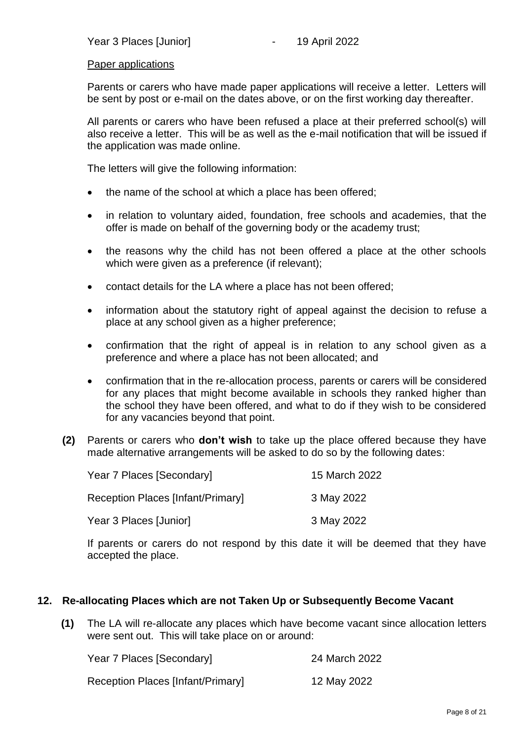#### Paper applications

Parents or carers who have made paper applications will receive a letter. Letters will be sent by post or e-mail on the dates above, or on the first working day thereafter.

All parents or carers who have been refused a place at their preferred school(s) will also receive a letter. This will be as well as the e-mail notification that will be issued if the application was made online.

The letters will give the following information:

- the name of the school at which a place has been offered;
- in relation to voluntary aided, foundation, free schools and academies, that the offer is made on behalf of the governing body or the academy trust;
- the reasons why the child has not been offered a place at the other schools which were given as a preference (if relevant);
- contact details for the LA where a place has not been offered;
- information about the statutory right of appeal against the decision to refuse a place at any school given as a higher preference;
- confirmation that the right of appeal is in relation to any school given as a preference and where a place has not been allocated; and
- confirmation that in the re-allocation process, parents or carers will be considered for any places that might become available in schools they ranked higher than the school they have been offered, and what to do if they wish to be considered for any vacancies beyond that point.
- **(2)** Parents or carers who **don't wish** to take up the place offered because they have made alternative arrangements will be asked to do so by the following dates:

| Year 7 Places [Secondary]                | 15 March 2022 |
|------------------------------------------|---------------|
| <b>Reception Places [Infant/Primary]</b> | 3 May 2022    |
| Year 3 Places [Junior]                   | 3 May 2022    |

If parents or carers do not respond by this date it will be deemed that they have accepted the place.

#### **12. Re-allocating Places which are not Taken Up or Subsequently Become Vacant**

**(1)** The LA will re-allocate any places which have become vacant since allocation letters were sent out. This will take place on or around:

| Year 7 Places [Secondary]                | 24 March 2022 |
|------------------------------------------|---------------|
| <b>Reception Places [Infant/Primary]</b> | 12 May 2022   |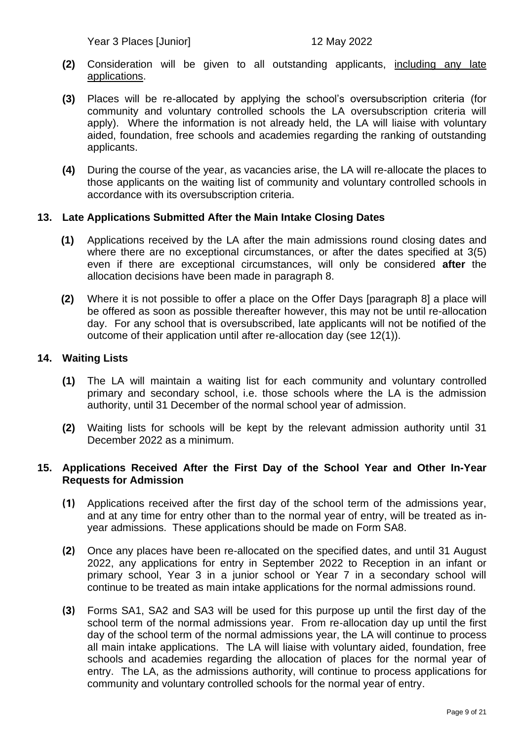Year 3 Places [Junior] 12 May 2022

- **(2)** Consideration will be given to all outstanding applicants, including any late applications.
- **(3)** Places will be re-allocated by applying the school's oversubscription criteria (for community and voluntary controlled schools the LA oversubscription criteria will apply). Where the information is not already held, the LA will liaise with voluntary aided, foundation, free schools and academies regarding the ranking of outstanding applicants.
- **(4)** During the course of the year, as vacancies arise, the LA will re-allocate the places to those applicants on the waiting list of community and voluntary controlled schools in accordance with its oversubscription criteria.

#### **13. Late Applications Submitted After the Main Intake Closing Dates**

- **(1)** Applications received by the LA after the main admissions round closing dates and where there are no exceptional circumstances, or after the dates specified at 3(5) even if there are exceptional circumstances, will only be considered **after** the allocation decisions have been made in paragraph 8.
- **(2)** Where it is not possible to offer a place on the Offer Days [paragraph 8] a place will be offered as soon as possible thereafter however, this may not be until re-allocation day. For any school that is oversubscribed, late applicants will not be notified of the outcome of their application until after re-allocation day (see 12(1)).

#### **14. Waiting Lists**

- **(1)** The LA will maintain a waiting list for each community and voluntary controlled primary and secondary school, i.e. those schools where the LA is the admission authority, until 31 December of the normal school year of admission.
- **(2)** Waiting lists for schools will be kept by the relevant admission authority until 31 December 2022 as a minimum.

#### **15. Applications Received After the First Day of the School Year and Other In-Year Requests for Admission**

- **(1)** Applications received after the first day of the school term of the admissions year, and at any time for entry other than to the normal year of entry, will be treated as inyear admissions. These applications should be made on Form SA8.
- **(2)** Once any places have been re-allocated on the specified dates, and until 31 August 2022, any applications for entry in September 2022 to Reception in an infant or primary school, Year 3 in a junior school or Year 7 in a secondary school will continue to be treated as main intake applications for the normal admissions round.
- **(3)** Forms SA1, SA2 and SA3 will be used for this purpose up until the first day of the school term of the normal admissions year. From re-allocation day up until the first day of the school term of the normal admissions year, the LA will continue to process all main intake applications. The LA will liaise with voluntary aided, foundation, free schools and academies regarding the allocation of places for the normal year of entry. The LA, as the admissions authority, will continue to process applications for community and voluntary controlled schools for the normal year of entry.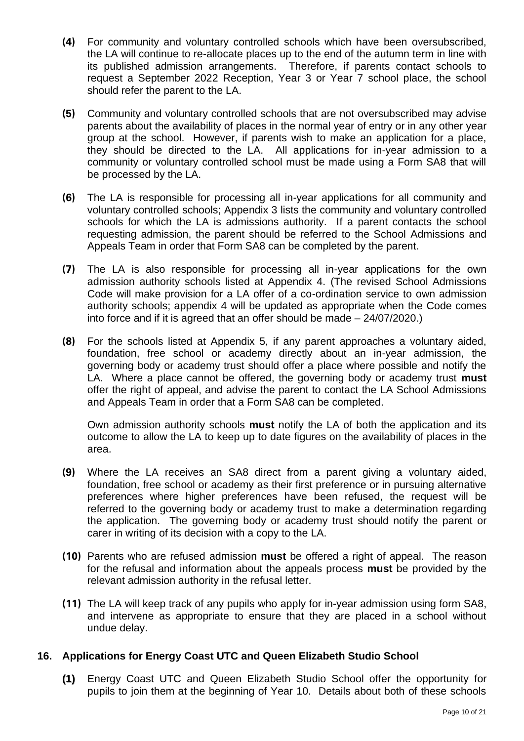- **(4)** For community and voluntary controlled schools which have been oversubscribed, the LA will continue to re-allocate places up to the end of the autumn term in line with its published admission arrangements. Therefore, if parents contact schools to request a September 2022 Reception, Year 3 or Year 7 school place, the school should refer the parent to the LA.
- **(5)** Community and voluntary controlled schools that are not oversubscribed may advise parents about the availability of places in the normal year of entry or in any other year group at the school. However, if parents wish to make an application for a place, they should be directed to the LA. All applications for in-year admission to a community or voluntary controlled school must be made using a Form SA8 that will be processed by the LA.
- **(6)** The LA is responsible for processing all in-year applications for all community and voluntary controlled schools; Appendix 3 lists the community and voluntary controlled schools for which the LA is admissions authority. If a parent contacts the school requesting admission, the parent should be referred to the School Admissions and Appeals Team in order that Form SA8 can be completed by the parent.
- **(7)** The LA is also responsible for processing all in-year applications for the own admission authority schools listed at Appendix 4. (The revised School Admissions Code will make provision for a LA offer of a co-ordination service to own admission authority schools; appendix 4 will be updated as appropriate when the Code comes into force and if it is agreed that an offer should be made – 24/07/2020.)
- **(8)** For the schools listed at Appendix 5, if any parent approaches a voluntary aided, foundation, free school or academy directly about an in-year admission, the governing body or academy trust should offer a place where possible and notify the LA. Where a place cannot be offered, the governing body or academy trust **must** offer the right of appeal, and advise the parent to contact the LA School Admissions and Appeals Team in order that a Form SA8 can be completed.

Own admission authority schools **must** notify the LA of both the application and its outcome to allow the LA to keep up to date figures on the availability of places in the area.

- **(9)** Where the LA receives an SA8 direct from a parent giving a voluntary aided, foundation, free school or academy as their first preference or in pursuing alternative preferences where higher preferences have been refused, the request will be referred to the governing body or academy trust to make a determination regarding the application. The governing body or academy trust should notify the parent or carer in writing of its decision with a copy to the LA.
- **(10)** Parents who are refused admission **must** be offered a right of appeal. The reason for the refusal and information about the appeals process **must** be provided by the relevant admission authority in the refusal letter.
- **(11)** The LA will keep track of any pupils who apply for in-year admission using form SA8, and intervene as appropriate to ensure that they are placed in a school without undue delay.

#### **16. Applications for Energy Coast UTC and Queen Elizabeth Studio School**

**(1)** Energy Coast UTC and Queen Elizabeth Studio School offer the opportunity for pupils to join them at the beginning of Year 10. Details about both of these schools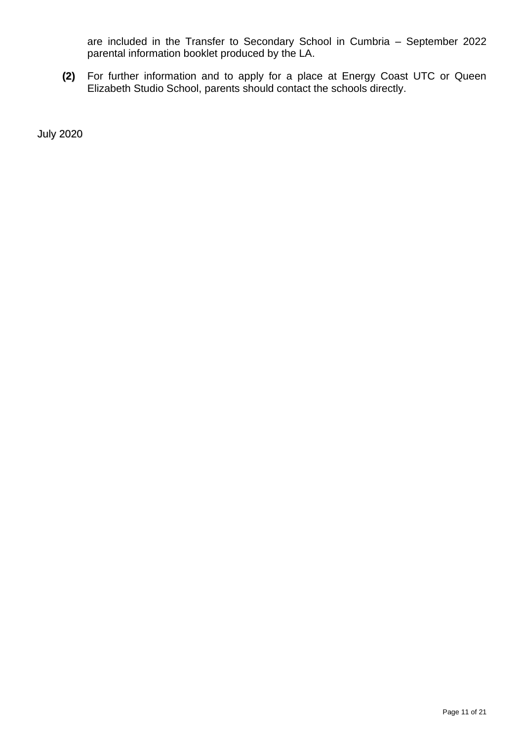are included in the Transfer to Secondary School in Cumbria – September 2022 parental information booklet produced by the LA.

**(2)** For further information and to apply for a place at Energy Coast UTC or Queen Elizabeth Studio School, parents should contact the schools directly.

July 2020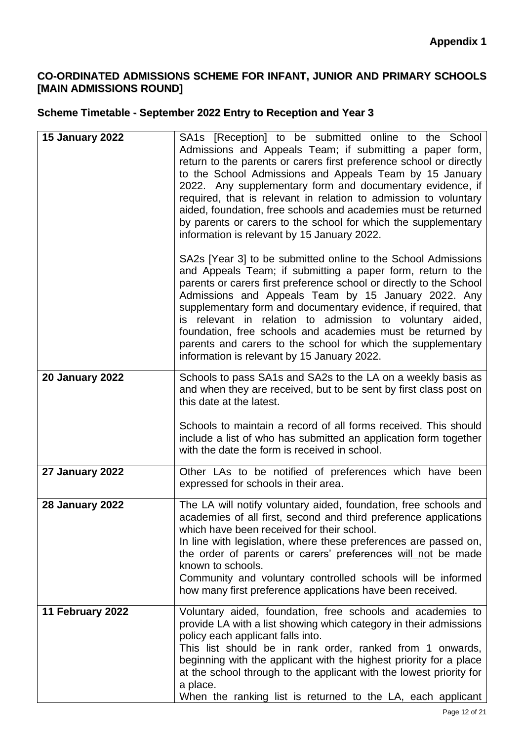# **CO-ORDINATED ADMISSIONS SCHEME FOR INFANT, JUNIOR AND PRIMARY SCHOOLS [MAIN ADMISSIONS ROUND]**

# **Scheme Timetable - September 2022 Entry to Reception and Year 3**

| <b>15 January 2022</b> | SA1s [Reception] to be submitted online to the School<br>Admissions and Appeals Team; if submitting a paper form,<br>return to the parents or carers first preference school or directly<br>to the School Admissions and Appeals Team by 15 January<br>2022. Any supplementary form and documentary evidence, if<br>required, that is relevant in relation to admission to voluntary<br>aided, foundation, free schools and academies must be returned<br>by parents or carers to the school for which the supplementary<br>information is relevant by 15 January 2022. |
|------------------------|-------------------------------------------------------------------------------------------------------------------------------------------------------------------------------------------------------------------------------------------------------------------------------------------------------------------------------------------------------------------------------------------------------------------------------------------------------------------------------------------------------------------------------------------------------------------------|
|                        | SA2s [Year 3] to be submitted online to the School Admissions<br>and Appeals Team; if submitting a paper form, return to the<br>parents or carers first preference school or directly to the School<br>Admissions and Appeals Team by 15 January 2022. Any<br>supplementary form and documentary evidence, if required, that<br>is relevant in relation to admission to voluntary aided,<br>foundation, free schools and academies must be returned by<br>parents and carers to the school for which the supplementary<br>information is relevant by 15 January 2022.   |
| <b>20 January 2022</b> | Schools to pass SA1s and SA2s to the LA on a weekly basis as<br>and when they are received, but to be sent by first class post on<br>this date at the latest.<br>Schools to maintain a record of all forms received. This should<br>include a list of who has submitted an application form together<br>with the date the form is received in school.                                                                                                                                                                                                                   |
| 27 January 2022        | Other LAs to be notified of preferences which have been<br>expressed for schools in their area.                                                                                                                                                                                                                                                                                                                                                                                                                                                                         |
| <b>28 January 2022</b> | The LA will notify voluntary aided, foundation, free schools and<br>academies of all first, second and third preference applications<br>which have been received for their school.<br>In line with legislation, where these preferences are passed on,<br>the order of parents or carers' preferences will not be made<br>known to schools.<br>Community and voluntary controlled schools will be informed<br>how many first preference applications have been received.                                                                                                |
| 11 February 2022       | Voluntary aided, foundation, free schools and academies to<br>provide LA with a list showing which category in their admissions<br>policy each applicant falls into.<br>This list should be in rank order, ranked from 1 onwards,<br>beginning with the applicant with the highest priority for a place<br>at the school through to the applicant with the lowest priority for<br>a place.<br>When the ranking list is returned to the LA, each applicant                                                                                                               |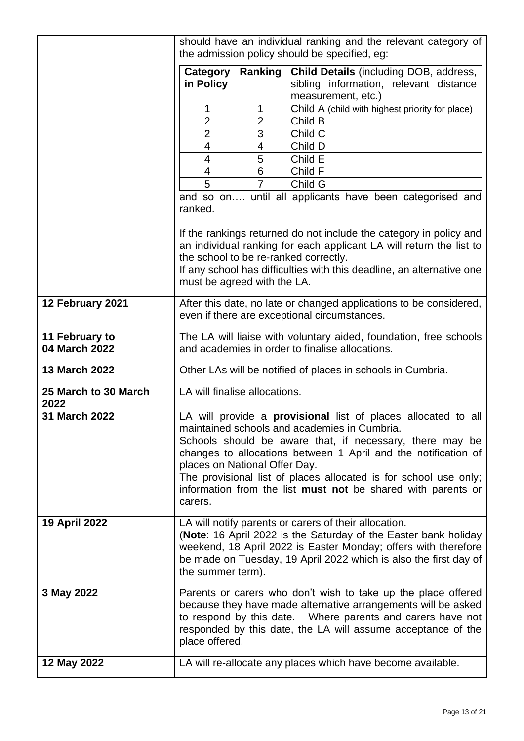|                                 | should have an individual ranking and the relevant category of                                                                                                                                                                                                                                                                                                                                                                    |                          |                                                                       |
|---------------------------------|-----------------------------------------------------------------------------------------------------------------------------------------------------------------------------------------------------------------------------------------------------------------------------------------------------------------------------------------------------------------------------------------------------------------------------------|--------------------------|-----------------------------------------------------------------------|
|                                 |                                                                                                                                                                                                                                                                                                                                                                                                                                   |                          | the admission policy should be specified, eg:                         |
|                                 | Category                                                                                                                                                                                                                                                                                                                                                                                                                          | Ranking                  | <b>Child Details (including DOB, address,</b>                         |
|                                 | in Policy                                                                                                                                                                                                                                                                                                                                                                                                                         |                          | sibling information, relevant distance                                |
|                                 |                                                                                                                                                                                                                                                                                                                                                                                                                                   |                          | measurement, etc.)                                                    |
|                                 | 1                                                                                                                                                                                                                                                                                                                                                                                                                                 | 1                        | Child A (child with highest priority for place)                       |
|                                 | $\overline{2}$                                                                                                                                                                                                                                                                                                                                                                                                                    | $\overline{2}$           | Child B                                                               |
|                                 | $\overline{2}$                                                                                                                                                                                                                                                                                                                                                                                                                    | 3                        | Child C                                                               |
|                                 | 4                                                                                                                                                                                                                                                                                                                                                                                                                                 | $\overline{\mathcal{A}}$ | Child D                                                               |
|                                 | 4                                                                                                                                                                                                                                                                                                                                                                                                                                 | 5<br>6                   | Child E<br>Child F                                                    |
|                                 | 4<br>$\overline{5}$                                                                                                                                                                                                                                                                                                                                                                                                               | 7                        | Child G                                                               |
|                                 |                                                                                                                                                                                                                                                                                                                                                                                                                                   |                          |                                                                       |
|                                 | ranked.                                                                                                                                                                                                                                                                                                                                                                                                                           |                          | and so on until all applicants have been categorised and              |
|                                 | If the rankings returned do not include the category in policy and<br>an individual ranking for each applicant LA will return the list to                                                                                                                                                                                                                                                                                         |                          |                                                                       |
|                                 |                                                                                                                                                                                                                                                                                                                                                                                                                                   |                          | the school to be re-ranked correctly.                                 |
|                                 | must be agreed with the LA.                                                                                                                                                                                                                                                                                                                                                                                                       |                          | If any school has difficulties with this deadline, an alternative one |
| 12 February 2021                | After this date, no late or changed applications to be considered,<br>even if there are exceptional circumstances.                                                                                                                                                                                                                                                                                                                |                          |                                                                       |
| 11 February to<br>04 March 2022 | The LA will liaise with voluntary aided, foundation, free schools<br>and academies in order to finalise allocations.                                                                                                                                                                                                                                                                                                              |                          |                                                                       |
| <b>13 March 2022</b>            | Other LAs will be notified of places in schools in Cumbria.                                                                                                                                                                                                                                                                                                                                                                       |                          |                                                                       |
| 25 March to 30 March<br>2022    | LA will finalise allocations.                                                                                                                                                                                                                                                                                                                                                                                                     |                          |                                                                       |
| 31 March 2022                   | LA will provide a <b>provisional</b> list of places allocated to all<br>maintained schools and academies in Cumbria<br>Schools should be aware that, if necessary, there may be<br>changes to allocations between 1 April and the notification of<br>places on National Offer Day.<br>The provisional list of places allocated is for school use only;<br>information from the list must not be shared with parents or<br>carers. |                          |                                                                       |
| <b>19 April 2022</b>            | LA will notify parents or carers of their allocation.<br>(Note: 16 April 2022 is the Saturday of the Easter bank holiday<br>weekend, 18 April 2022 is Easter Monday; offers with therefore<br>be made on Tuesday, 19 April 2022 which is also the first day of<br>the summer term).                                                                                                                                               |                          |                                                                       |
| 3 May 2022                      | Parents or carers who don't wish to take up the place offered<br>because they have made alternative arrangements will be asked<br>to respond by this date.  Where parents and carers have not<br>responded by this date, the LA will assume acceptance of the<br>place offered.                                                                                                                                                   |                          |                                                                       |
| 12 May 2022                     | LA will re-allocate any places which have become available.                                                                                                                                                                                                                                                                                                                                                                       |                          |                                                                       |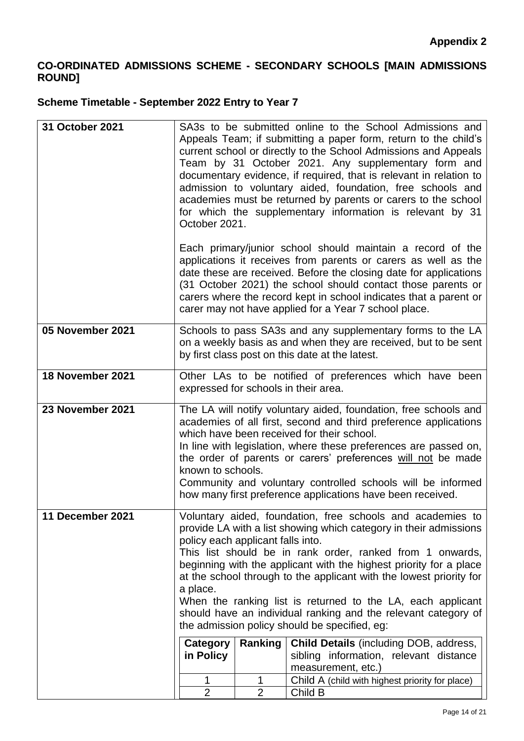# **CO-ORDINATED ADMISSIONS SCHEME - SECONDARY SCHOOLS [MAIN ADMISSIONS ROUND]**

# **Scheme Timetable - September 2022 Entry to Year 7**

| 31 October 2021  | SA3s to be submitted online to the School Admissions and<br>Appeals Team; if submitting a paper form, return to the child's<br>current school or directly to the School Admissions and Appeals<br>Team by 31 October 2021. Any supplementary form and<br>documentary evidence, if required, that is relevant in relation to<br>admission to voluntary aided, foundation, free schools and<br>academies must be returned by parents or carers to the school<br>for which the supplementary information is relevant by 31<br>October 2021.                                     |                     |                                                                                                                                                                                                                                                                                                                                                                                                 |  |
|------------------|------------------------------------------------------------------------------------------------------------------------------------------------------------------------------------------------------------------------------------------------------------------------------------------------------------------------------------------------------------------------------------------------------------------------------------------------------------------------------------------------------------------------------------------------------------------------------|---------------------|-------------------------------------------------------------------------------------------------------------------------------------------------------------------------------------------------------------------------------------------------------------------------------------------------------------------------------------------------------------------------------------------------|--|
|                  |                                                                                                                                                                                                                                                                                                                                                                                                                                                                                                                                                                              |                     | Each primary/junior school should maintain a record of the<br>applications it receives from parents or carers as well as the<br>date these are received. Before the closing date for applications<br>(31 October 2021) the school should contact those parents or<br>carers where the record kept in school indicates that a parent or<br>carer may not have applied for a Year 7 school place. |  |
| 05 November 2021 | Schools to pass SA3s and any supplementary forms to the LA<br>on a weekly basis as and when they are received, but to be sent<br>by first class post on this date at the latest.                                                                                                                                                                                                                                                                                                                                                                                             |                     |                                                                                                                                                                                                                                                                                                                                                                                                 |  |
| 18 November 2021 | Other LAs to be notified of preferences which have been<br>expressed for schools in their area.                                                                                                                                                                                                                                                                                                                                                                                                                                                                              |                     |                                                                                                                                                                                                                                                                                                                                                                                                 |  |
| 23 November 2021 | The LA will notify voluntary aided, foundation, free schools and<br>academies of all first, second and third preference applications<br>which have been received for their school.<br>In line with legislation, where these preferences are passed on,<br>the order of parents or carers' preferences will not be made<br>known to schools.<br>Community and voluntary controlled schools will be informed<br>how many first preference applications have been received.                                                                                                     |                     |                                                                                                                                                                                                                                                                                                                                                                                                 |  |
| 11 December 2021 | Voluntary aided, foundation, free schools and academies to<br>provide LA with a list showing which category in their admissions<br>policy each applicant falls into.<br>This list should be in rank order, ranked from 1 onwards,<br>beginning with the applicant with the highest priority for a place<br>at the school through to the applicant with the lowest priority for<br>a place.<br>When the ranking list is returned to the LA, each applicant<br>should have an individual ranking and the relevant category of<br>the admission policy should be specified, eg: |                     |                                                                                                                                                                                                                                                                                                                                                                                                 |  |
|                  | Category<br>in Policy                                                                                                                                                                                                                                                                                                                                                                                                                                                                                                                                                        | Ranking             | <b>Child Details</b> (including DOB, address,<br>sibling information, relevant distance<br>measurement, etc.)                                                                                                                                                                                                                                                                                   |  |
|                  | 1<br>$\overline{2}$                                                                                                                                                                                                                                                                                                                                                                                                                                                                                                                                                          | 1<br>$\overline{2}$ | Child A (child with highest priority for place)<br>Child B                                                                                                                                                                                                                                                                                                                                      |  |
|                  |                                                                                                                                                                                                                                                                                                                                                                                                                                                                                                                                                                              |                     |                                                                                                                                                                                                                                                                                                                                                                                                 |  |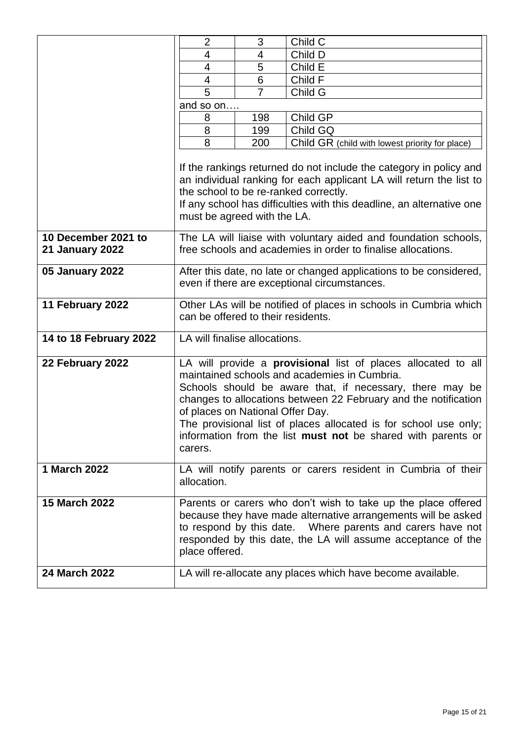|                                               | $\overline{2}$                                                                                                                                                                                                                                                                                                                                                                                                                                | 3              | Child C                                         |
|-----------------------------------------------|-----------------------------------------------------------------------------------------------------------------------------------------------------------------------------------------------------------------------------------------------------------------------------------------------------------------------------------------------------------------------------------------------------------------------------------------------|----------------|-------------------------------------------------|
|                                               | 4                                                                                                                                                                                                                                                                                                                                                                                                                                             | 4              | Child D                                         |
|                                               | $\overline{4}$                                                                                                                                                                                                                                                                                                                                                                                                                                | 5              | Child E                                         |
|                                               | 4                                                                                                                                                                                                                                                                                                                                                                                                                                             | 6              | Child F                                         |
|                                               | 5                                                                                                                                                                                                                                                                                                                                                                                                                                             | $\overline{7}$ | Child G                                         |
|                                               | and so on                                                                                                                                                                                                                                                                                                                                                                                                                                     |                |                                                 |
|                                               | 8                                                                                                                                                                                                                                                                                                                                                                                                                                             | 198            | Child GP                                        |
|                                               | 8                                                                                                                                                                                                                                                                                                                                                                                                                                             | 199            | Child GQ                                        |
|                                               | 8                                                                                                                                                                                                                                                                                                                                                                                                                                             | 200            | Child GR (child with lowest priority for place) |
|                                               | If the rankings returned do not include the category in policy and<br>an individual ranking for each applicant LA will return the list to<br>the school to be re-ranked correctly.<br>If any school has difficulties with this deadline, an alternative one<br>must be agreed with the LA.                                                                                                                                                    |                |                                                 |
| 10 December 2021 to<br><b>21 January 2022</b> | The LA will liaise with voluntary aided and foundation schools,<br>free schools and academies in order to finalise allocations.                                                                                                                                                                                                                                                                                                               |                |                                                 |
| 05 January 2022                               | After this date, no late or changed applications to be considered,<br>even if there are exceptional circumstances.                                                                                                                                                                                                                                                                                                                            |                |                                                 |
| 11 February 2022                              | Other LAs will be notified of places in schools in Cumbria which<br>can be offered to their residents.                                                                                                                                                                                                                                                                                                                                        |                |                                                 |
| 14 to 18 February 2022                        | LA will finalise allocations.                                                                                                                                                                                                                                                                                                                                                                                                                 |                |                                                 |
| 22 February 2022                              | LA will provide a <b>provisional</b> list of places allocated to all<br>maintained schools and academies in Cumbria.<br>Schools should be aware that, if necessary, there may be<br>changes to allocations between 22 February and the notification<br>of places on National Offer Day.<br>The provisional list of places allocated is for school use only;<br>information from the list <b>must not</b> be shared with parents or<br>carers. |                |                                                 |
| 1 March 2022                                  | LA will notify parents or carers resident in Cumbria of their<br>allocation.                                                                                                                                                                                                                                                                                                                                                                  |                |                                                 |
| <b>15 March 2022</b>                          | Parents or carers who don't wish to take up the place offered<br>because they have made alternative arrangements will be asked<br>to respond by this date. Where parents and carers have not<br>responded by this date, the LA will assume acceptance of the<br>place offered.                                                                                                                                                                |                |                                                 |
| 24 March 2022                                 | LA will re-allocate any places which have become available.                                                                                                                                                                                                                                                                                                                                                                                   |                |                                                 |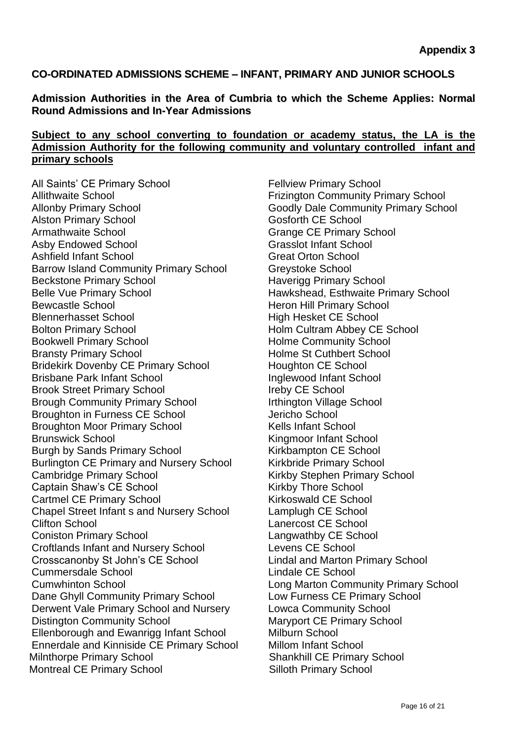### **CO-ORDINATED ADMISSIONS SCHEME – INFANT, PRIMARY AND JUNIOR SCHOOLS**

**Admission Authorities in the Area of Cumbria to which the Scheme Applies: Normal Round Admissions and In-Year Admissions**

# **Subject to any school converting to foundation or academy status, the LA is the Admission Authority for the following community and voluntary controlled infant and primary schools**

All Saints' CE Primary School Fellview Primary School Allithwaite School **Allithwaite School Frizington Community Primary School** Allonby Primary School Goodly Dale Community Primary School Alston Primary School Gosforth CE School Armathwaite School **Grange CE Primary School** Asby Endowed School Grasslot Infant School Ashfield Infant School **Great Orton School** Barrow Island Community Primary School Greystoke School Beckstone Primary School **Haverigg Primary School** Belle Vue Primary School **Hawkshead, Esthwaite Primary School** Bewcastle School **Heron Hill Primary School** Blennerhasset School **High Hesket CE School** Bolton Primary School **Holm Cultram Abbey CE School** Bookwell Primary School **Holme Community School** Bransty Primary School **Holme St Cuthbert School** Bridekirk Dovenby CE Primary School Houghton CE School Brisbane Park Infant School **Inglewood Infant School** Brook Street Primary School **Ireby CE** School Brough Community Primary School **Irthington Village School** Broughton in Furness CE School **Furness CE School** Jericho School Broughton Moor Primary School Kells Infant School Brunswick School **Kingmoor Infant School** Burgh by Sands Primary School Kirkbampton CE School Burlington CE Primary and Nursery School Kirkbride Primary School Cambridge Primary School **Cambridge Cambridge Primary School** Captain Shaw's CE School **Captain Shaw's CE School** Kirkby Thore School Cartmel CE Primary School Kirkoswald CE School Chapel Street Infant s and Nursery School Lamplugh CE School Clifton School Lanercost CE School Coniston Primary School Langwathby CE School Croftlands Infant and Nursery School Levens CE School Crosscanonby St John's CE School Lindal and Marton Primary School Cummersdale School **Lindale CE** School **Lindale CE** School Cumwhinton School Long Marton Community Primary School Dane Ghyll Community Primary School Low Furness CE Primary School Derwent Vale Primary School and Nursery Lowca Community School Distington Community School Maryport CE Primary School Ellenborough and Ewanrigg Infant School Milburn School Ennerdale and Kinniside CE Primary School Millom Infant School Milnthorpe Primary School Shankhill CE Primary School Montreal CE Primary School Silloth Primary School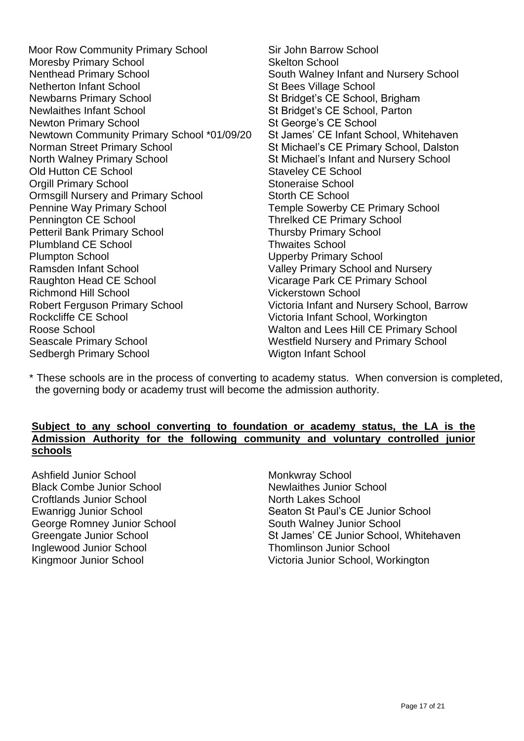Moor Row Community Primary School Sir John Barrow School Moresby Primary School Skelton School Skelton School Nenthead Primary School South Walney In Netherton Infant School St Bees Village School Newbarns Primary School St Bridget's CE School, Brigham Newlaithes Infant School St Bridget's CE School, Parton Newton Primary School St George's CE School Newtown Community Primary School \*01/09/20 St James' CE Infant School, Whitehaven Norman Street Primary School St Michael's CE Primary School, Dalston North Walney Primary School St Michael's Infant and Nursery School Old Hutton CE School Staveley CE School **Orgill Primary School Stoneraise School** Ormsgill Nursery and Primary School Storth CE School Pennine Way Primary School **Temple Sowerby CE Primary School** Pennington CE School **Threlked CE Primary School** Petteril Bank Primary School **Thursby Primary School** Plumbland CE School **Thwaites** School Plumpton School Upperby Primary School Ramsden Infant School **Valley Primary School and Nursery** Raughton Head CE School Vicarage Park CE Primary School Richmond Hill School Vickerstown School Robert Ferguson Primary School Victoria Infant and Nursery School, Barrow Rockcliffe CE School Victoria Infant School, Workington Roose School Walton and Lees Hill CE Primary School Seascale Primary School **Westfield Nursery and Primary School** Sedbergh Primary School Wigton Infant School

South Walney Infant and Nursery School

\* These schools are in the process of converting to academy status. When conversion is completed, the governing body or academy trust will become the admission authority.

#### **Subject to any school converting to foundation or academy status, the LA is the Admission Authority for the following community and voluntary controlled junior schools**

Ashfield Junior School Monkwray School Black Combe Junior School Newlaithes Junior School Croftlands Junior School North Lakes School George Romney Junior School South Walney Junior School Inglewood Junior School Thomlinson Junior School

Ewanrigg Junior School Seaton St Paul's CE Junior School Greengate Junior School St James' CE Junior School, Whitehaven Kingmoor Junior School Victoria Junior School, Workington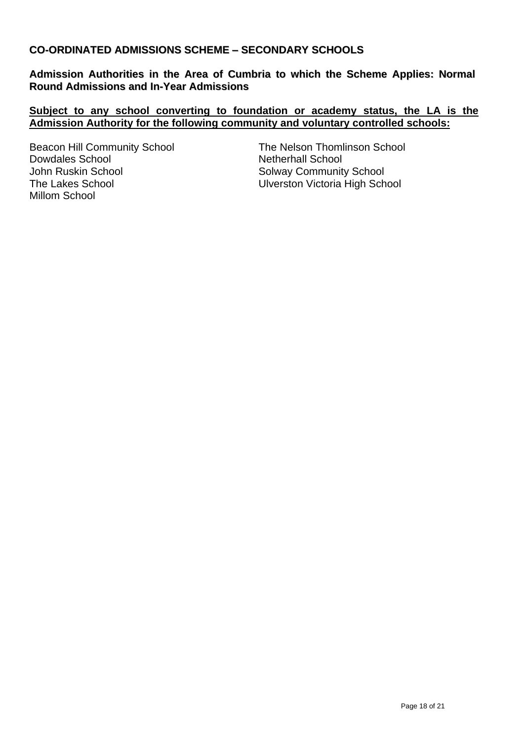# **CO-ORDINATED ADMISSIONS SCHEME – SECONDARY SCHOOLS**

**Admission Authorities in the Area of Cumbria to which the Scheme Applies: Normal Round Admissions and In-Year Admissions**

#### **Subject to any school converting to foundation or academy status, the LA is the Admission Authority for the following community and voluntary controlled schools:**

Dowdales School Netherhall School John Ruskin School Solway Community School The Lakes School **The Lakes School** Ulverston Victoria High School Millom School

Beacon Hill Community School The Nelson Thomlinson School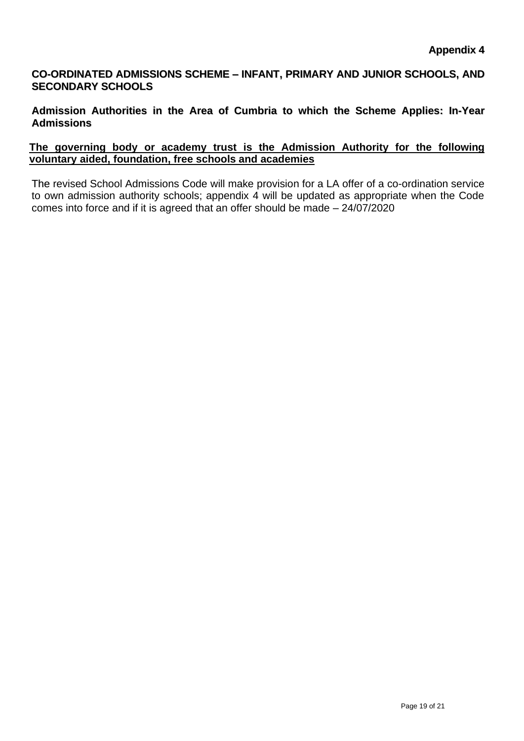# **CO-ORDINATED ADMISSIONS SCHEME – INFANT, PRIMARY AND JUNIOR SCHOOLS, AND SECONDARY SCHOOLS**

**Admission Authorities in the Area of Cumbria to which the Scheme Applies: In-Year Admissions**

#### **The governing body or academy trust is the Admission Authority for the following voluntary aided, foundation, free schools and academies**

The revised School Admissions Code will make provision for a LA offer of a co-ordination service to own admission authority schools; appendix 4 will be updated as appropriate when the Code comes into force and if it is agreed that an offer should be made – 24/07/2020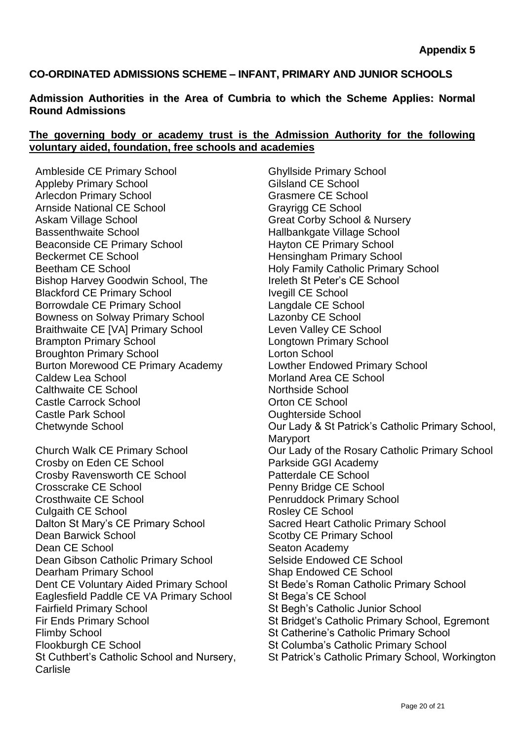# **CO-ORDINATED ADMISSIONS SCHEME – INFANT, PRIMARY AND JUNIOR SCHOOLS**

#### **Admission Authorities in the Area of Cumbria to which the Scheme Applies: Normal Round Admissions**

#### **The governing body or academy trust is the Admission Authority for the following voluntary aided, foundation, free schools and academies**

Ambleside CE Primary School Ghyllside Primary School Appleby Primary School Gilsland CE School Arlecdon Primary School Grasmere CE School Arnside National CE School Grayrigg CE School Askam Village School **Great Corps** Great Corby School & Nursery Bassenthwaite School **Hallbankgate Village School** Beaconside CE Primary School Hayton CE Primary School Beckermet CE School **Hensingham Primary School** Beetham CE School **Example 20** Holy Family Catholic Primary School Bishop Harvey Goodwin School, The Ireleth St Peter's CE School Blackford CE Primary School Ivegill CE School Borrowdale CE Primary School Langdale CE School Bowness on Solway Primary School Lazonby CE School Braithwaite CE [VA] Primary School Leven Valley CE School Brampton Primary School Longtown Primary School Broughton Primary School Lorton School Burton Morewood CE Primary Academy Lowther Endowed Primary School Caldew Lea School **Mortand Area CE School** Morland Area CE School Calthwaite CE School Northside School Castle Carrock School **Castle Carrock School** Castle Carrock School Castle Park School **Castle Park School** 

Crosby on Eden CE School Parkside GGI Academy Crosby Ravensworth CE School Patterdale CE School Crosscrake CE School **Penny Bridge CE School** Crosthwaite CE School **Penruddock Primary School** Culgaith CE School **Rosley CE School** Rosley CE School Dalton St Mary's CE Primary School Sacred Heart Catholic Primary School Dean Barwick School Scotby CE Primary School Dean CE School Seaton Academy Dean Gibson Catholic Primary School Selside Endowed CE School Dearham Primary School Shap Endowed CE School Eaglesfield Paddle CE VA Primary School St Bega's CE School Fairfield Primary School St Begh's Catholic Junior School Flimby School St Catherine's Catholic Primary School Flookburgh CE School St Columba's Catholic Primary School St Cuthbert's Catholic School and Nursery, **Carlisle** 

Chetwynde School Our Lady & St Patrick's Catholic Primary School, **Maryport** Church Walk CE Primary School Our Lady of the Rosary Catholic Primary School Dent CE Voluntary Aided Primary School St Bede's Roman Catholic Primary School Fir Ends Primary School St Bridget's Catholic Primary School, Egremont St Patrick's Catholic Primary School, Workington